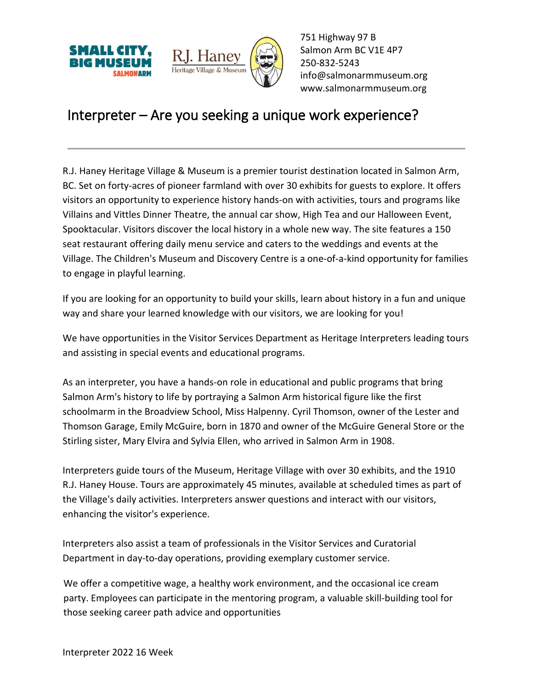



751 Highway 97 B Salmon Arm BC V1E 4P7 250-832-5243 [info@salmonarmmuseum.org](mailto:info@salmonarmmuseum.org) www.salmonarmmuseum.org

## Interpreter – Are you seeking a unique work experience?

R.J. Haney Heritage Village & Museum is a premier tourist destination located in Salmon Arm, BC. Set on forty-acres of pioneer farmland with over 30 exhibits for guests to explore. It offers visitors an opportunity to experience history hands-on with activities, tours and programs like Villains and Vittles Dinner Theatre, the annual car show, High Tea and our Halloween Event, Spooktacular. Visitors discover the local history in a whole new way. The site features a 150 seat restaurant offering daily menu service and caters to the weddings and events at the Village. The Children's Museum and Discovery Centre is a one-of-a-kind opportunity for families to engage in playful learning.

If you are looking for an opportunity to build your skills, learn about history in a fun and unique way and share your learned knowledge with our visitors, we are looking for you!

We have opportunities in the Visitor Services Department as Heritage Interpreters leading tours and assisting in special events and educational programs.

As an interpreter, you have a hands-on role in educational and public programs that bring Salmon Arm's history to life by portraying a Salmon Arm historical figure like the first schoolmarm in the Broadview School, Miss Halpenny. Cyril Thomson, owner of the Lester and Thomson Garage, Emily McGuire, born in 1870 and owner of the McGuire General Store or the Stirling sister, Mary Elvira and Sylvia Ellen, who arrived in Salmon Arm in 1908.

Interpreters guide tours of the Museum, Heritage Village with over 30 exhibits, and the 1910 R.J. Haney House. Tours are approximately 45 minutes, available at scheduled times as part of the Village's daily activities. Interpreters answer questions and interact with our visitors, enhancing the visitor's experience.

Interpreters also assist a team of professionals in the Visitor Services and Curatorial Department in day-to-day operations, providing exemplary customer service.

We offer a competitive wage, a healthy work environment, and the occasional ice cream party. Employees can participate in the mentoring program, a valuable skill-building tool for those seeking career path advice and opportunities